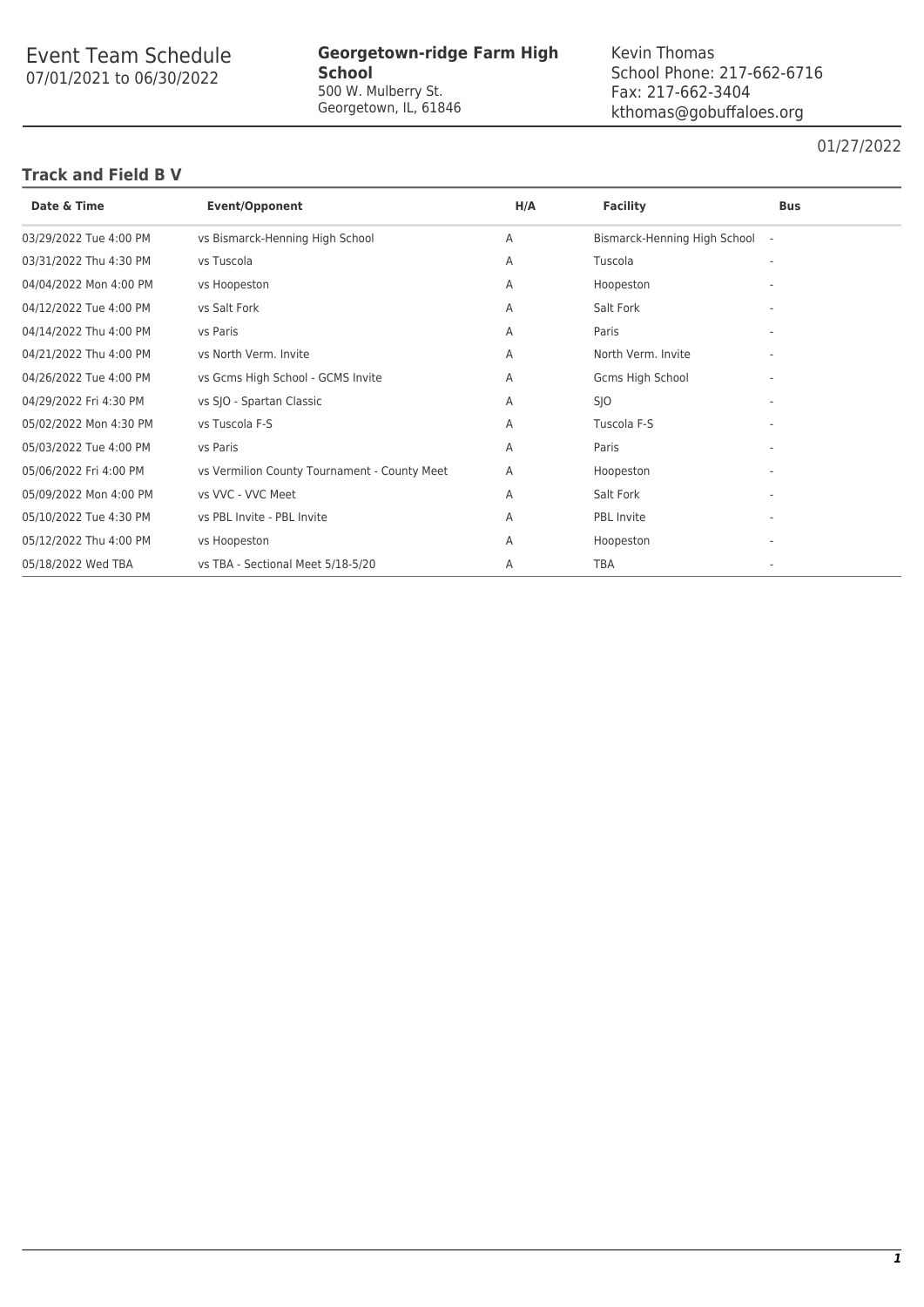# Event Team Schedule 07/01/2021 to 06/30/2022

#### **Georgetown-ridge Farm High School** 500 W. Mulberry St. Georgetown, IL, 61846

Kevin Thomas School Phone: 217-662-6716 Fax: 217-662-3404 kthomas@gobuffaloes.org

### 01/27/2022

#### **Track and Field B V**

| Date & Time            | <b>Event/Opponent</b>                        | H/A | <b>Facility</b>                | <b>Bus</b> |
|------------------------|----------------------------------------------|-----|--------------------------------|------------|
| 03/29/2022 Tue 4:00 PM | vs Bismarck-Henning High School              | A   | Bismarck-Henning High School - |            |
| 03/31/2022 Thu 4:30 PM | vs Tuscola                                   | A   | Tuscola                        |            |
| 04/04/2022 Mon 4:00 PM | vs Hoopeston                                 | A   | Hoopeston                      |            |
| 04/12/2022 Tue 4:00 PM | vs Salt Fork                                 | A   | Salt Fork                      |            |
| 04/14/2022 Thu 4:00 PM | vs Paris                                     | A   | Paris                          |            |
| 04/21/2022 Thu 4:00 PM | vs North Verm. Invite                        | A   | North Verm. Invite             |            |
| 04/26/2022 Tue 4:00 PM | vs Gcms High School - GCMS Invite            | A   | Gcms High School               |            |
| 04/29/2022 Fri 4:30 PM | vs SJO - Spartan Classic                     | A   | <b>SJO</b>                     |            |
| 05/02/2022 Mon 4:30 PM | vs Tuscola F-S                               | A   | Tuscola F-S                    |            |
| 05/03/2022 Tue 4:00 PM | vs Paris                                     | A   | Paris                          |            |
| 05/06/2022 Fri 4:00 PM | vs Vermilion County Tournament - County Meet | A   | Hoopeston                      |            |
| 05/09/2022 Mon 4:00 PM | vs VVC - VVC Meet                            | A   | Salt Fork                      |            |
| 05/10/2022 Tue 4:30 PM | vs PBL Invite - PBL Invite                   | A   | <b>PBL</b> Invite              |            |
| 05/12/2022 Thu 4:00 PM | vs Hoopeston                                 | A   | Hoopeston                      |            |
| 05/18/2022 Wed TBA     | vs TBA - Sectional Meet 5/18-5/20            | A   | <b>TBA</b>                     |            |